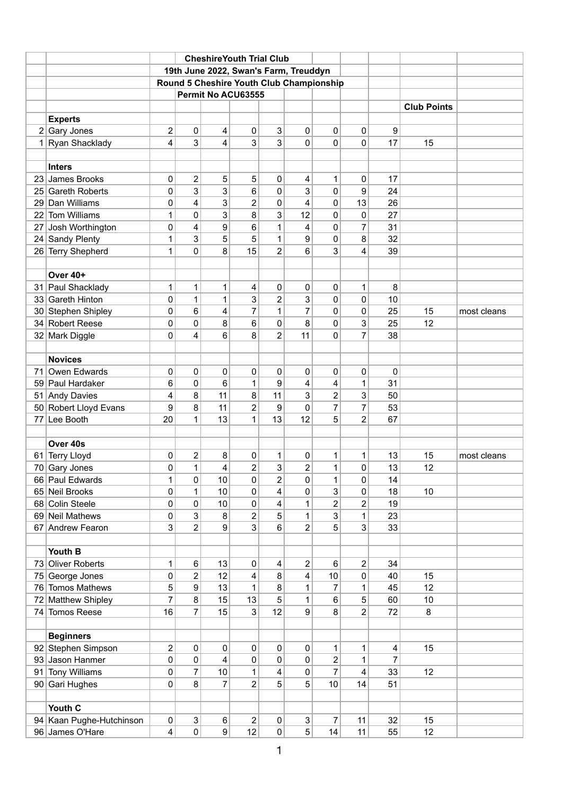|              |                                             | <b>CheshireYouth Trial Club</b>          |                         |              |                               |                                  |                         |                      |                         |                |          |             |
|--------------|---------------------------------------------|------------------------------------------|-------------------------|--------------|-------------------------------|----------------------------------|-------------------------|----------------------|-------------------------|----------------|----------|-------------|
|              |                                             | 19th June 2022, Swan's Farm, Treuddyn    |                         |              |                               |                                  |                         |                      |                         |                |          |             |
|              |                                             | Round 5 Cheshire Youth Club Championship |                         |              |                               |                                  |                         |                      |                         |                |          |             |
|              |                                             |                                          |                         |              | Permit No ACU63555            |                                  |                         |                      |                         |                |          |             |
|              |                                             | <b>Club Points</b>                       |                         |              |                               |                                  |                         |                      |                         |                |          |             |
|              | <b>Experts</b>                              |                                          |                         |              |                               |                                  |                         |                      |                         |                |          |             |
| 2            | Gary Jones                                  | $\overline{2}$                           | 0                       | 4            | $\pmb{0}$                     | 3                                | 0                       | 0                    | 0                       | 9              |          |             |
| $\mathbf{1}$ | Ryan Shacklady                              | 4                                        | 3                       | 4            | 3                             | 3                                | 0                       | 0                    | $\mathbf 0$             | 17             | 15       |             |
|              |                                             |                                          |                         |              |                               |                                  |                         |                      |                         |                |          |             |
|              | <b>Inters</b>                               |                                          |                         |              |                               |                                  |                         |                      |                         |                |          |             |
| 23           | James Brooks                                | 0                                        | $\overline{\mathbf{c}}$ | 5            | 5                             | 0                                | 4                       | 1                    | 0                       | 17             |          |             |
| 25           | <b>Gareth Roberts</b>                       | $\mathbf 0$                              | 3                       | 3            | 6                             | 0                                | 3                       | 0                    | 9                       | 24             |          |             |
| 29           | Dan Williams                                | 0                                        | 4                       | 3            | $\overline{c}$                | 0                                | 4                       | 0                    | 13                      | 26             |          |             |
| 22           | <b>Tom Williams</b>                         | 1                                        | 0                       | 3            | 8                             | 3                                | 12                      | 0                    | $\mathbf 0$             | 27             |          |             |
| 27           | Josh Worthington                            | 0                                        | 4                       | 9            | 6                             | $\mathbf{1}$                     | 4                       | 0                    | 7                       | 31             |          |             |
|              | 24 Sandy Plenty                             | 1                                        | 3                       | 5            | 5                             | 1                                | 9                       | 0                    | 8                       | 32             |          |             |
| 26           | <b>Terry Shepherd</b>                       | 1                                        | 0                       | 8            | 15                            | $\overline{2}$                   | 6                       | 3                    | 4                       | 39             |          |             |
|              |                                             |                                          |                         |              |                               |                                  |                         |                      |                         |                |          |             |
|              | Over 40+                                    |                                          |                         |              |                               |                                  |                         |                      |                         |                |          |             |
|              | 31 Paul Shacklady                           | 1                                        | $\mathbf{1}$            | 1            | 4                             | 0                                | 0                       | $\mathbf 0$          | $\mathbf{1}$            | 8              |          |             |
| 33           | <b>Gareth Hinton</b>                        | 0                                        | 1                       | $\mathbf{1}$ | 3                             | $\overline{2}$                   | 3                       | $\mathbf 0$          | $\mathbf 0$             | 10             |          |             |
|              | 30 Stephen Shipley                          | 0                                        | 6                       | 4            | $\overline{7}$                | $\mathbf{1}$                     | 7                       | 0                    | 0                       | 25             | 15       | most cleans |
|              | 34 Robert Reese                             | 0                                        | 0                       | 8            | 6                             | 0                                | 8                       | 0                    | 3                       | 25             | 12       |             |
|              | 32 Mark Diggle                              | 0                                        | 4                       | 6            | 8                             | $\overline{2}$                   | 11                      | 0                    | $\overline{7}$          | 38             |          |             |
|              |                                             |                                          |                         |              |                               |                                  |                         |                      |                         |                |          |             |
|              | <b>Novices</b>                              |                                          |                         |              |                               |                                  |                         |                      |                         |                |          |             |
| 71           | Owen Edwards                                | 0                                        | 0                       | 0            | $\mathbf 0$                   | 0                                | 0                       | 0                    | 0                       | $\mathbf 0$    |          |             |
|              | 59 Paul Hardaker                            | 6                                        | 0                       | 6            | 1                             | 9                                | 4                       | 4                    | 1                       | 31             |          |             |
|              | 51 Andy Davies                              | 4                                        | 8                       | 11           | 8                             | 11                               | 3                       | 2                    | 3                       | 50             |          |             |
|              | 50 Robert Lloyd Evans                       | 9                                        | 8                       | 11           | $\overline{2}$                | 9                                | $\pmb{0}$               | $\overline{7}$       | $\overline{7}$          | 53             |          |             |
| 77           | Lee Booth                                   | 20                                       | 1                       | 13           | $\mathbf{1}$                  | 13                               | 12                      | 5                    | $\overline{2}$          | 67             |          |             |
|              |                                             |                                          |                         |              |                               |                                  |                         |                      |                         |                |          |             |
|              | Over 40s                                    |                                          |                         |              |                               |                                  |                         |                      |                         |                |          |             |
|              | 61 Terry Lloyd                              | 0                                        | $\overline{2}$          | 8            | $\mathbf 0$                   | $\mathbf{1}$                     | 0                       | 1                    | 1                       | 13             | 15       | most cleans |
| 70           | Gary Jones                                  | 0                                        | $\mathbf{1}$            | 4            | $\overline{2}$                | 3                                | $\overline{2}$          | $\mathbf{1}$         | $\mathbf 0$             | 13             | 12       |             |
|              | 66 Paul Edwards                             | 1                                        | 0                       | 10           | $\pmb{0}$                     | $\overline{\mathbf{c}}$          | $\pmb{0}$               | 1                    | $\pmb{0}$               | 14             |          |             |
|              | 65 Neil Brooks                              | 0                                        | $\mathbf{1}$            | 10           | $\pmb{0}$                     | 4                                | $\pmb{0}$               | 3                    | $\pmb{0}$               | 18             | 10       |             |
|              | 68 Colin Steele                             | 0                                        | 0                       | 10           | $\pmb{0}$                     | 4                                | 1                       | 2                    | $\overline{2}$          | 19             |          |             |
|              | 69 Neil Mathews                             | 0                                        | 3                       | 8            | $\overline{\mathbf{c}}$       | 5                                | $\overline{1}$          | 3                    | 1                       | 23             |          |             |
|              | 67 Andrew Fearon                            | 3                                        | $\overline{2}$          | 9            | 3                             | 6                                | $\overline{\mathbf{c}}$ | 5                    | 3                       | 33             |          |             |
|              |                                             |                                          |                         |              |                               |                                  |                         |                      |                         |                |          |             |
|              | Youth B                                     |                                          |                         |              |                               |                                  |                         |                      |                         |                |          |             |
| 73           | <b>Oliver Roberts</b>                       | 1                                        | 6                       | 13           | $\pmb{0}$                     | 4                                | 2                       | 6                    | $\overline{2}$          | 34             |          |             |
| 75           | George Jones                                | 0                                        | $\overline{2}$          | 12           | 4                             | 8                                | 4                       | 10                   | $\pmb{0}$               | 40             | 15       |             |
|              | 76 Tomos Mathews                            | 5                                        | 9                       | 13           | $\mathbf 1$                   | 8                                | 1                       | $\overline{7}$       | 1                       | 45             | 12       |             |
| 72           | <b>Matthew Shipley</b>                      | $\overline{7}$                           | 8                       | 15           | 13                            | 5                                | $\overline{1}$          | 6                    | 5                       | 60             | 10       |             |
|              | 74 Tomos Reese                              | 16                                       | $\overline{7}$          | 15           | 3                             | 12                               | $\boldsymbol{9}$        | 8                    | $\overline{2}$          | 72             | 8        |             |
|              |                                             |                                          |                         |              |                               |                                  |                         |                      |                         |                |          |             |
|              | <b>Beginners</b>                            |                                          |                         |              |                               |                                  |                         |                      |                         |                |          |             |
|              | 92 Stephen Simpson                          | $\mathbf 2$                              | 0                       | 0            | $\pmb{0}$                     | 0                                | $\pmb{0}$               | 1                    | 1                       | 4              | 15       |             |
|              | 93 Jason Hanmer                             | $\pmb{0}$                                | 0                       | 4            | $\pmb{0}$                     | $\pmb{0}$                        | $\pmb{0}$               | $\boldsymbol{2}$     | 1                       | $\overline{7}$ |          |             |
| 91           | <b>Tony Williams</b>                        | 0                                        | $\overline{7}$          | 10           | 1                             | 4                                | $\pmb{0}$               | $\overline{7}$       | $\overline{\mathbf{4}}$ | 33             | 12       |             |
|              | 90 Gari Hughes                              | 0                                        | 8                       | 7            | $\overline{2}$                | 5                                | 5                       | 10                   | 14                      | 51             |          |             |
|              |                                             |                                          |                         |              |                               |                                  |                         |                      |                         |                |          |             |
|              | Youth C                                     |                                          |                         |              |                               |                                  |                         |                      |                         |                |          |             |
|              | 94 Kaan Pughe-Hutchinson<br>96 James O'Hare | $\pmb{0}$<br>$\overline{\mathbf{4}}$     | 3<br>$\pmb{0}$          | $\,6$<br> 9  | $\overline{\mathbf{c}}$<br>12 | $\pmb{0}$<br>$\mathsf{O}\xspace$ | 3<br>5                  | $\overline{7}$<br>14 | 11<br>11                | 32<br>55       | 15<br>12 |             |
|              |                                             |                                          |                         |              |                               |                                  |                         |                      |                         |                |          |             |